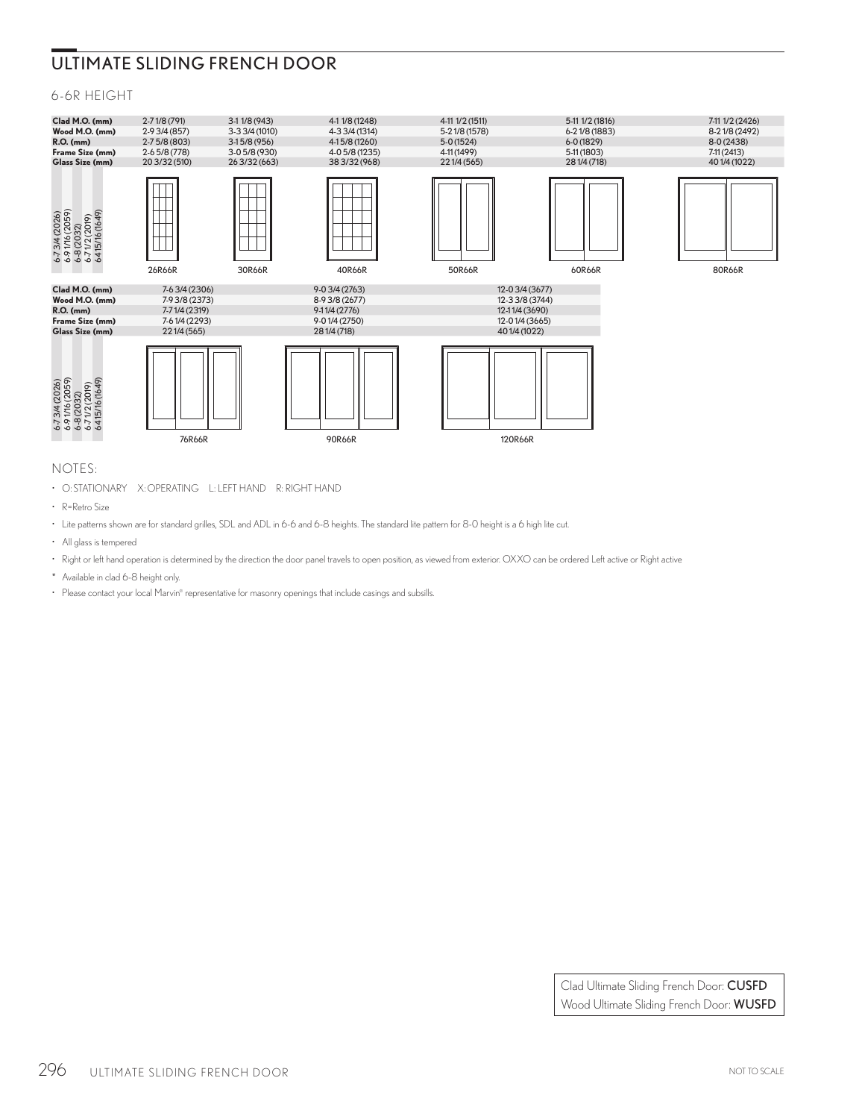# ULTIMATE SLIDING FRENCH DOOR

## 6-6R HEIGHT



### NOTES:

• O: STATIONARY X: OPERATING L: LEFT HAND R: RIGHT HAND

- R=Retro Size
- Lite patterns shown are for standard grilles, SDL and ADL in 6-6 and 6-8 heights. The standard lite pattern for 8-0 height is a 6 high lite cut.
- All glass is tempered
- Right or left hand operation is determined by the direction the door panel travels to open position, as viewed from exterior. OXXO can be ordered Left active or Right active
- \* Available in clad 6-8 height only.
- Please contact your local Marvin® representative for masonry openings that include casings and subsills.

Clad Ultimate Sliding French Door: CUSFD Wood Ultimate Sliding French Door: WUSFD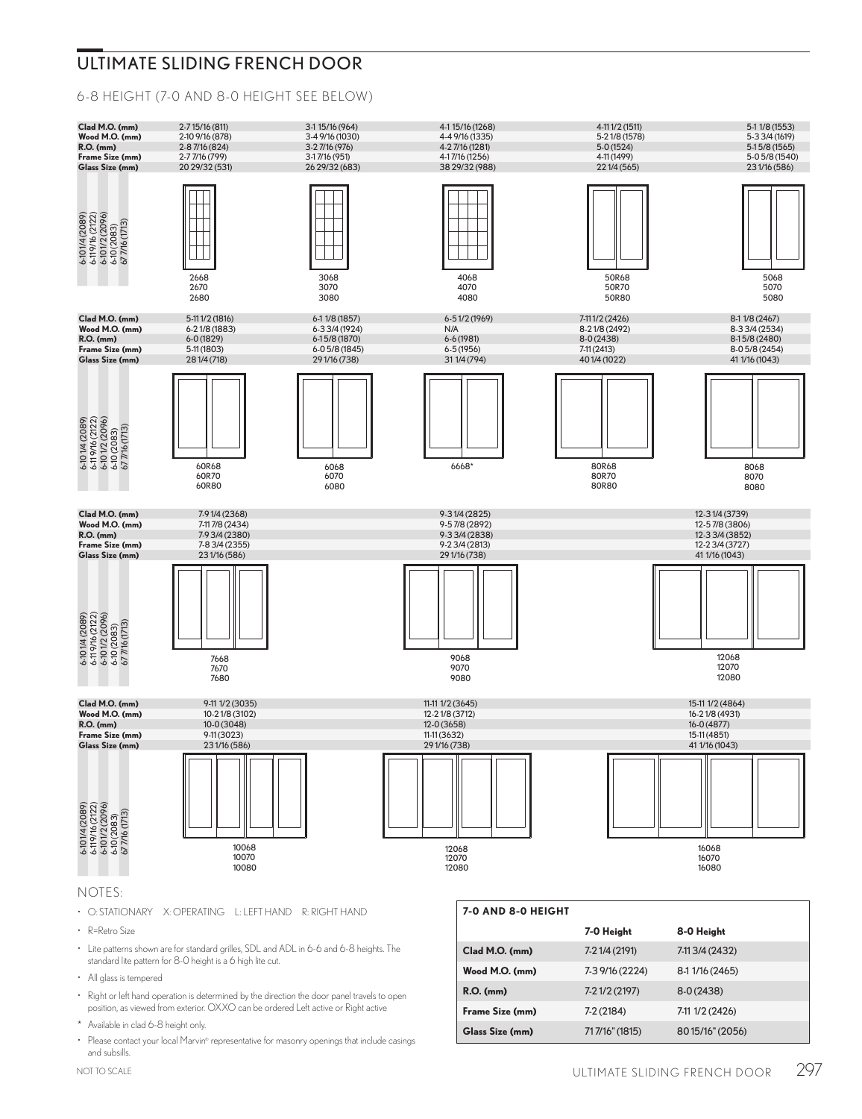## ULTIMATE SLIDING FRENCH DOOR

6-8 HEIGHT (7-0 AND 8-0 HEIGHT SEE BELOW)



#### NOTES:

- O: STATIONARY X: OPERATING L: LEFT HAND R: RIGHT HAND
- R=Retro Size
- Lite patterns shown are for standard grilles, SDL and ADL in 6-6 and 6-8 heights. The standard lite pattern for 8-0 height is a 6 high lite cut.
- All glass is tempered
- Right or left hand operation is determined by the direction the door panel travels to open position, as viewed from exterior. OXXO can be ordered Left active or Right active
- \* Available in clad 6-8 height only.
- Please contact your local Marvin® representative for masonry openings that include casings and subsills.

| 7-0 AND 8-0 HEIGHT |                 |                 |  |
|--------------------|-----------------|-----------------|--|
|                    | 7-0 Height      | 8-0 Height      |  |
| Clad M.O. (mm)     | 7-21/4 (2191)   | 7-113/4 (2432)  |  |
| Wood M.O. (mm)     | 7-3 9/16 (2224) | 8-1 1/16 (2465) |  |
| <b>R.O.</b> (mm)   | 7-21/2 (2197)   | $8-0(2438)$     |  |
| Frame Size (mm)    | $7-2(2184)$     | 7-11 1/2 (2426) |  |
| Glass Size (mm)    | 717/16" (1815)  | 8015/16" (2056) |  |